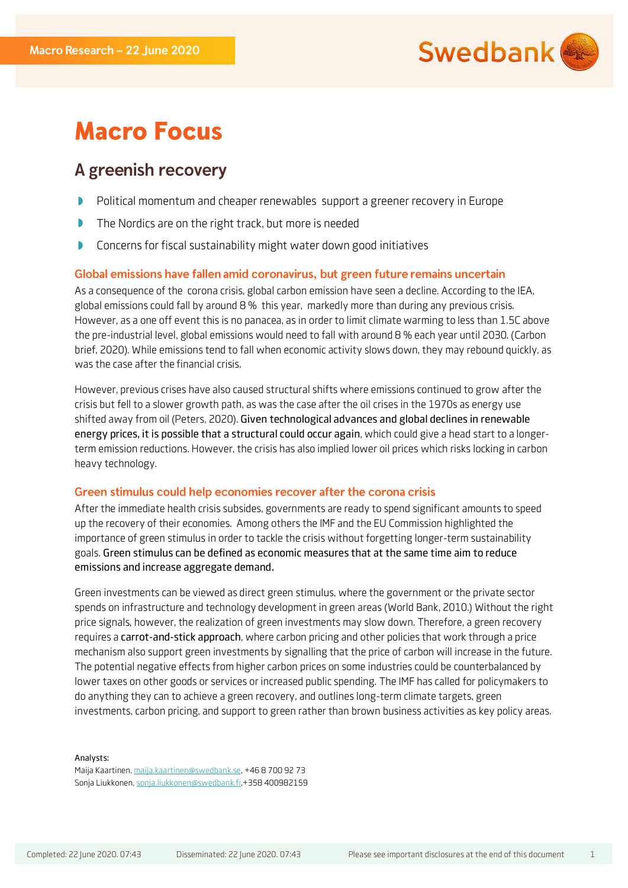

# **Macro Focus**

## A greenish recovery

- $\begin{array}{c} \hline \end{array}$ Political momentum and cheaper renewables support a greener recovery in Europe
- $\color{red} \blacktriangleright$ The Nordics are on the right track, but more is needed
- D Concerns for fiscal sustainability might water down good initiatives

## Global emissions have fallen amid coronavirus, but green future remains uncertain

As a consequence of the corona crisis, global carbon emission have seen a decline. According to the IEA, global emissions could fall by around 8 % this year, markedly more than during any previous crisis. However, as a one off event this is no panacea, as in order to limit climate warming to less than 1.5C above the pre-industrial level, global emissions would need to fall with around 8 % each year until 2030. (Carbon brief, 2020). While emissions tend to fall when economic activity slows down, they may rebound quickly, as was the case after the financial crisis.

However, previous crises have also caused structural shifts where emissions continued to grow after the crisis but fell to a slower growth path, as was the case after the oil crises in the 1970s as energy use shifted away from oil (Peters, 2020). Given technological advances and global declines in renewable energy prices, it is possible that a structural could occur again, which could give a head start to a longerterm emission reductions. However, the crisis has also implied lower oil prices which risks locking in carbon heavy technology.

## Green stimulus could help economies recover after the corona crisis

After the immediate health crisis subsides, governments are ready to spend significant amounts to speed up the recovery of their economies. Among others the IMF and the EU Commission highlighted the importance of green stimulus in order to tackle the crisis without forgetting longer-term sustainability goals. Green stimulus can be defined as economic measures that at the same time aim to reduce emissions and increase aggregate demand.

Green investments can be viewed as direct green stimulus, where the government or the private sector spends on infrastructure and technology development in green areas (World Bank, 2010.) Without the right price signals, however, the realization of green investments may slow down. Therefore, a green recovery requires a carrot-and-stick approach, where carbon pricing and other policies that work through a price mechanism also support green investments by signalling that the price of carbon will increase in the future. The potential negative effects from higher carbon prices on some industries could be counterbalanced by lower taxes on other goods or services or increased public spending. The IMF has called for policymakers to do anything they can to achieve a green recovery, and outlines long-term climate targets, green investments, carbon pricing, and support to green rather than brown business activities as key policy areas.

Analysts:

Maija Kaartinen, [maija.kaartinen@swedbank.se,](https://workspaces.swedbank.net/sites/GERD/SharedDocuments/Economic%20Stability%20and%20Sustainability/Macro%20Focus/Green%20Stimulus/maija.kaartinen@swedbank.se) +46 8 700 92 73 Sonja Liukkonen[, sonja.liukkonen@swedbank.fi,+](mailto:sonja.liukkonen@swedbank.fi)358 400982159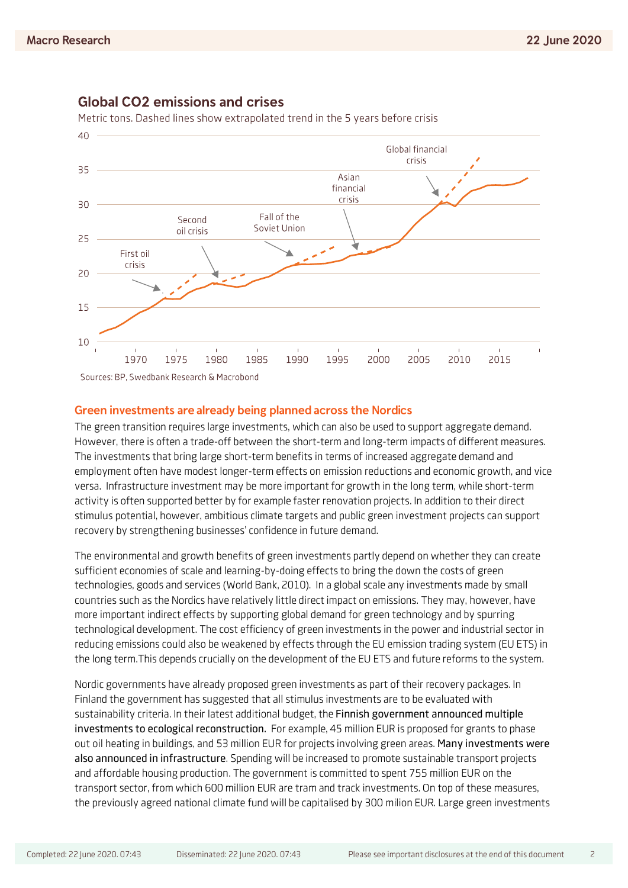

## **Global CO2 emissions and crises**

Metric tons. Dashed lines show extrapolated trend in the 5 years before crisis

## Green investments are already being planned across the Nordics

The green transition requires large investments, which can also be used to support aggregate demand. However, there is often a trade-off between the short-term and long-term impacts of different measures. The investments that bring large short-term benefits in terms of increased aggregate demand and employment often have modest longer-term effects on emission reductions and economic growth, and vice versa. Infrastructure investment may be more important for growth in the long term, while short-term activity is often supported better by for example faster renovation projects. In addition to their direct stimulus potential, however, ambitious climate targets and public green investment projects can support recovery by strengthening businesses' confidence in future demand.

The environmental and growth benefits of green investments partly depend on whether they can create sufficient economies of scale and learning-by-doing effects to bring the down the costs of green technologies, goods and services (World Bank, 2010). In a global scale any investments made by small countries such as the Nordics have relatively little direct impact on emissions. They may, however, have more important indirect effects by supporting global demand for green technology and by spurring technological development. The cost efficiency of green investments in the power and industrial sector in reducing emissions could also be weakened by effects through the EU emission trading system (EU ETS) in the long term.This depends crucially on the development of the EU ETS and future reforms to the system.

Nordic governments have already proposed green investments as part of their recovery packages. In Finland the government has suggested that all stimulus investments are to be evaluated with sustainability criteria. In their latest additional budget, the Finnish government announced multiple investments to ecological reconstruction. For example, 45 million EUR is proposed for grants to phase out oil heating in buildings, and 53 million EUR for projects involving green areas. Many investments were also announced in infrastructure. Spending will be increased to promote sustainable transport projects and affordable housing production. The government is committed to spent 755 million EUR on the transport sector, from which 600 million EUR are tram and track investments. On top of these measures, the previously agreed national climate fund will be capitalised by 300 milion EUR. Large green investments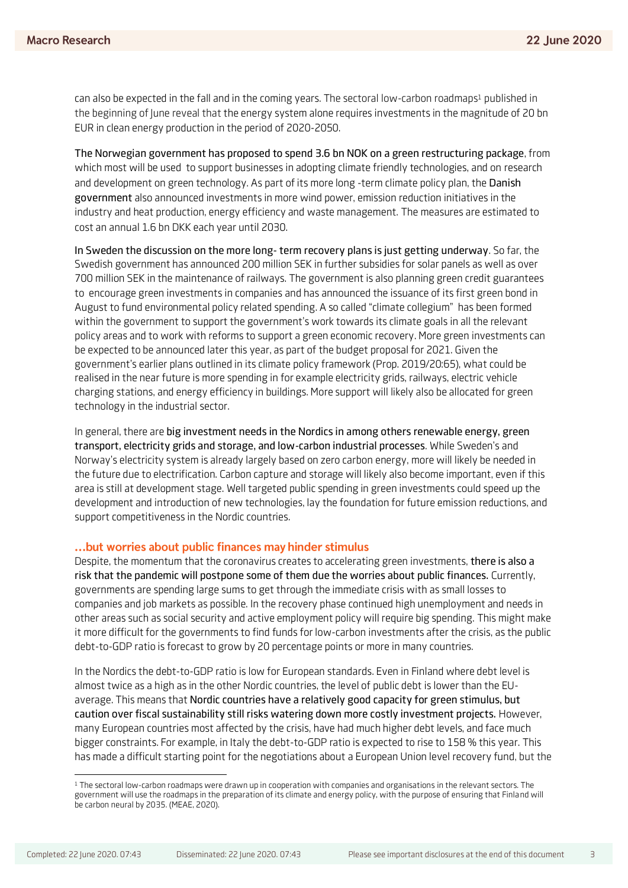can also be expected in the fall and in the coming years. The sectoral low-carbon roadmaps1 published in the beginning of June reveal that the energy system alone requires investments in the magnitude of 20 bn EUR in clean energy production in the period of 2020-2050.

The Norwegian government has proposed to spend 3.6 bn NOK on a green restructuring package, from which most will be used to support businesses in adopting climate friendly technologies, and on research and development on green technology. As part of its more long -term climate policy plan, the Danish government also announced investments in more wind power, emission reduction initiatives in the industry and heat production, energy efficiency and waste management. The measures are estimated to cost an annual 1.6 bn DKK each year until 2030.

In Sweden the discussion on the more long- term recovery plans is just getting underway. So far, the Swedish government has announced 200 million SEK in further subsidies for solar panels as well as over 700 million SEK in the maintenance of railways. The government is also planning green credit guarantees to encourage green investments in companies and has announced the issuance of its first green bond in August to fund environmental policy related spending. A so called "climate collegium" has been formed within the government to support the government's work towards its climate goals in all the relevant policy areas and to work with reforms to support a green economic recovery. More green investments can be expected to be announced later this year, as part of the budget proposal for 2021. Given the government's earlier plans outlined in its climate policy framework (Prop. 2019/20:65), what could be realised in the near future is more spending in for example electricity grids, railways, electric vehicle charging stations, and energy efficiency in buildings. More support will likely also be allocated for green technology in the industrial sector.

In general, there are big investment needs in the Nordics in among others renewable energy, green transport, electricity grids and storage, and low-carbon industrial processes. While Sweden's and Norway's electricity system is already largely based on zero carbon energy, more will likely be needed in the future due to electrification. Carbon capture and storage will likely also become important, even if this area is still at development stage. Well targeted public spending in green investments could speed up the development and introduction of new technologies, lay the foundation for future emission reductions, and support competitiveness in the Nordic countries.

### ... but worries about public finances may hinder stimulus

Despite, the momentum that the coronavirus creates to accelerating green investments, there is also a risk that the pandemic will postpone some of them due the worries about public finances. Currently, governments are spending large sums to get through the immediate crisis with as small losses to companies and job markets as possible. In the recovery phase continued high unemployment and needs in other areas such as social security and active employment policy will require big spending. This might make it more difficult for the governments to find funds for low-carbon investments after the crisis, as the public debt-to-GDP ratio is forecast to grow by 20 percentage points or more in many countries.

In the Nordics the debt-to-GDP ratio is low for European standards. Even in Finland where debt level is almost twice as a high as in the other Nordic countries, the level of public debt is lower than the EUaverage. This means that Nordic countries have a relatively good capacity for green stimulus, but caution over fiscal sustainability still risks watering down more costly investment projects. However, many European countries most affected by the crisis, have had much higher debt levels, and face much bigger constraints. For example, in Italy the debt-to-GDP ratio is expected to rise to 158 % this year. This has made a difficult starting point for the negotiations about a European Union level recovery fund, but the

**.** 

<sup>1</sup> The sectoral low-carbon roadmaps were drawn up in cooperation with companies and organisations in the relevant sectors. The government will use the roadmaps in the preparation of its climate and energy policy, with the purpose of ensuring that Finland will be carbon neural by 2035. (MEAE, 2020).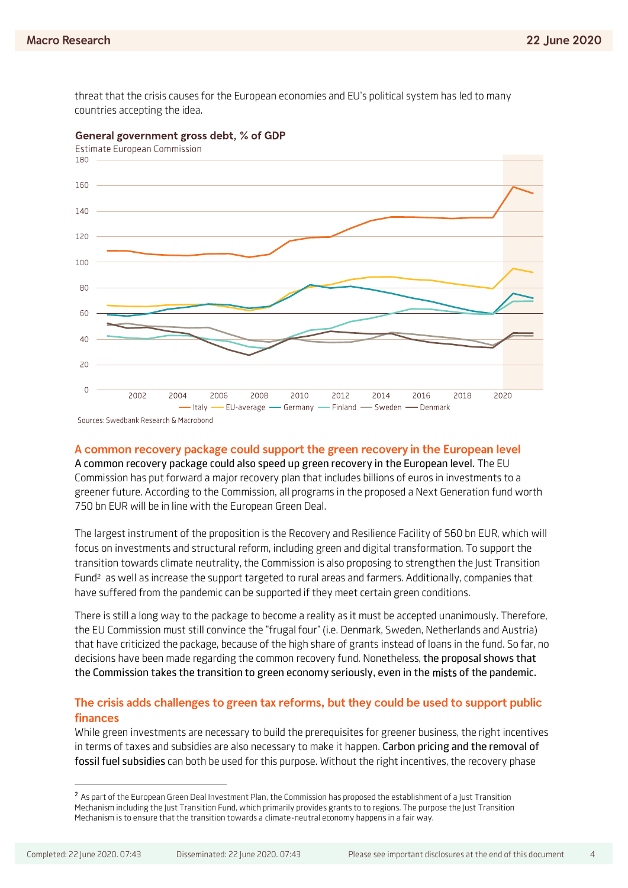threat that the crisis causes for the European economies and EU's political system has led to many countries accepting the idea.



#### General government gross debt, % of GDP

## A common recovery package could support the green recovery in the European level

A common recovery package could also speed up green recovery in the European level. The EU Commission has put forward a major recovery plan that includes billions of euros in investments to a greener future. According to the Commission, all programs in the proposed a Next Generation fund worth 750 bn EUR will be in line with the European Green Deal.

The largest instrument of the proposition is the Recovery and Resilience Facility of 560 bn EUR, which will focus on investments and structural reform, including green and digital transformation. To support the transition towards climate neutrality, the Commission is also proposing to strengthen the Just Transition Fund2 as well as increase the support targeted to rural areas and farmers. Additionally, companies that have suffered from the pandemic can be supported if they meet certain green conditions.

There is still a long way to the package to become a reality as it must be accepted unanimously. Therefore, the EU Commission must still convince the "frugal four" (i.e. Denmark, Sweden, Netherlands and Austria) that have criticized the package, because of the high share of grants instead of loans in the fund. So far, no decisions have been made regarding the common recovery fund. Nonetheless, the proposal shows that the Commission takes the transition to green economy seriously, even in the mists of the pandemic.

## The crisis adds challenges to green tax reforms, but they could be used to support public finances

While green investments are necessary to build the prerequisites for greener business, the right incentives in terms of taxes and subsidies are also necessary to make it happen. Carbon pricing and the removal of fossil fuel subsidies can both be used for this purpose. Without the right incentives, the recovery phase

**.** 

<sup>&</sup>lt;sup>2</sup> As part of the European Green Deal Investment Plan, the Commission has proposed the establishment of a Just Transition Mechanism including the Just Transition Fund, which primarily provides grants to to regions. The purpose the Just Transition Mechanism is to ensure that the transition towards a climate-neutral economy happens in a fair way.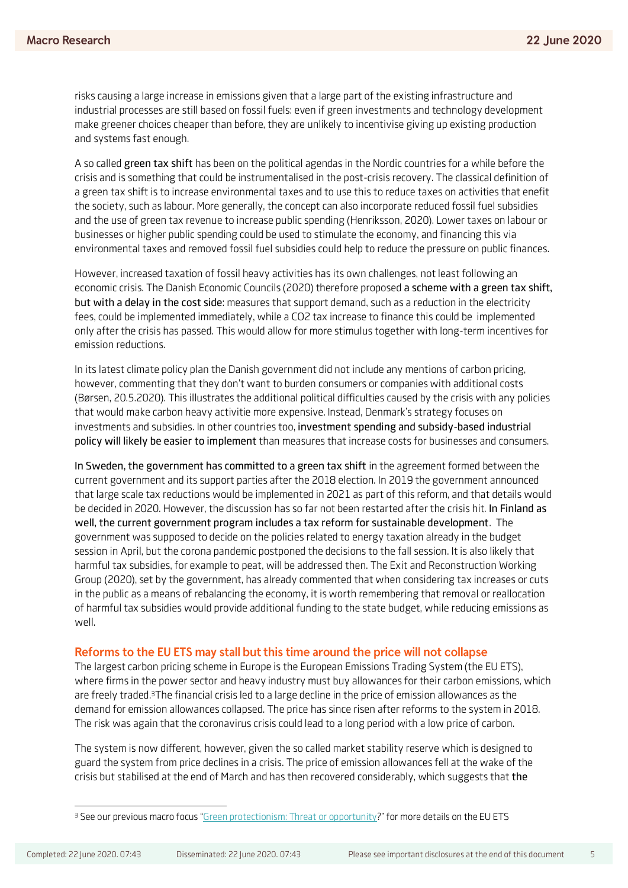risks causing a large increase in emissions given that a large part of the existing infrastructure and industrial processes are still based on fossil fuels: even if green investments and technology development make greener choices cheaper than before, they are unlikely to incentivise giving up existing production and systems fast enough.

A so called green tax shift has been on the political agendas in the Nordic countries for a while before the crisis and is something that could be instrumentalised in the post-crisis recovery. The classical definition of a green tax shift is to increase environmental taxes and to use this to reduce taxes on activities that enefit the society, such as labour. More generally, the concept can also incorporate reduced fossil fuel subsidies and the use of green tax revenue to increase public spending (Henriksson, 2020). Lower taxes on labour or businesses or higher public spending could be used to stimulate the economy, and financing this via environmental taxes and removed fossil fuel subsidies could help to reduce the pressure on public finances.

However, increased taxation of fossil heavy activities has its own challenges, not least following an economic crisis. The Danish Economic Councils (2020) therefore proposed a scheme with a green tax shift, but with a delay in the cost side: measures that support demand, such as a reduction in the electricity fees, could be implemented immediately, while a CO2 tax increase to finance this could be implemented only after the crisis has passed. This would allow for more stimulus together with long-term incentives for emission reductions.

In its latest climate policy plan the Danish government did not include any mentions of carbon pricing, however, commenting that they don't want to burden consumers or companies with additional costs (Børsen, 20.5.2020). This illustrates the additional political difficulties caused by the crisis with any policies that would make carbon heavy activitie more expensive. Instead, Denmark's strategy focuses on investments and subsidies. In other countries too, investment spending and subsidy-based industrial policy will likely be easier to implement than measures that increase costs for businesses and consumers.

In Sweden, the government has committed to a green tax shift in the agreement formed between the current government and its support parties after the 2018 election. In 2019 the government announced that large scale tax reductions would be implemented in 2021 as part of this reform, and that details would be decided in 2020. However, the discussion has so far not been restarted after the crisis hit. In Finland as well, the current government program includes a tax reform for sustainable development. The government was supposed to decide on the policies related to energy taxation already in the budget session in April, but the corona pandemic postponed the decisions to the fall session. It is also likely that harmful tax subsidies, for example to peat, will be addressed then. The Exit and Reconstruction Working Group (2020), set by the government, has already commented that when considering tax increases or cuts in the public as a means of rebalancing the economy, it is worth remembering that removal or reallocation of harmful tax subsidies would provide additional funding to the state budget, while reducing emissions as well.

#### Reforms to the EU ETS may stall but this time around the price will not collapse

The largest carbon pricing scheme in Europe is the European Emissions Trading System (the EU ETS), where firms in the power sector and heavy industry must buy allowances for their carbon emissions, which are freely traded.3The financial crisis led to a large decline in the price of emission allowances as the demand for emission allowances collapsed. The price has since risen after reforms to the system in 2018. The risk was again that the coronavirus crisis could lead to a long period with a low price of carbon.

The system is now different, however, given the so called market stability reserve which is designed to guard the system from price declines in a crisis. The price of emission allowances fell at the wake of the crisis but stabilised at the end of March and has then recovered considerably, which suggests that the

<sup>1</sup> <sup>3</sup> See our previous macro focus "[Green protectionism: Threat or opportunity](https://research.swedbank.se/default.aspx?cdguid=D3158178-5D9B-4AD1-BA4A-D644444717FD)?" for more details on the EU ETS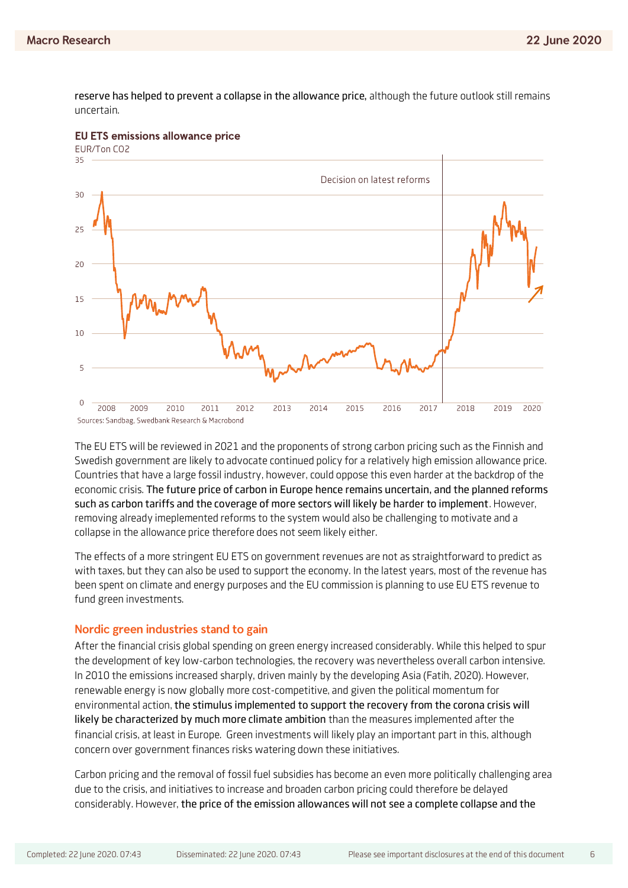reserve has helped to prevent a collapse in the allowance price, although the future outlook still remains uncertain.



**EU ETS emissions allowance price** 

The EU ETS will be reviewed in 2021 and the proponents of strong carbon pricing such as the Finnish and Swedish government are likely to advocate continued policy for a relatively high emission allowance price. Countries that have a large fossil industry, however, could oppose this even harder at the backdrop of the economic crisis. The future price of carbon in Europe hence remains uncertain, and the planned reforms such as carbon tariffs and the coverage of more sectors will likely be harder to implement. However, removing already imeplemented reforms to the system would also be challenging to motivate and a collapse in the allowance price therefore does not seem likely either.

The effects of a more stringent EU ETS on government revenues are not as straightforward to predict as with taxes, but they can also be used to support the economy. In the latest years, most of the revenue has been spent on climate and energy purposes and the EU commission is planning to use EU ETS revenue to fund green investments.

### Nordic green industries stand to gain

After the financial crisis global spending on green energy increased considerably. While this helped to spur the development of key low-carbon technologies, the recovery was nevertheless overall carbon intensive. In 2010 the emissions increased sharply, driven mainly by the developing Asia (Fatih, 2020). However, renewable energy is now globally more cost-competitive, and given the political momentum for environmental action, the stimulus implemented to support the recovery from the corona crisis will likely be characterized by much more climate ambition than the measures implemented after the financial crisis, at least in Europe. Green investments will likely play an important part in this, although concern over government finances risks watering down these initiatives.

Carbon pricing and the removal of fossil fuel subsidies has become an even more politically challenging area due to the crisis, and initiatives to increase and broaden carbon pricing could therefore be delayed considerably. However, the price of the emission allowances will not see a complete collapse and the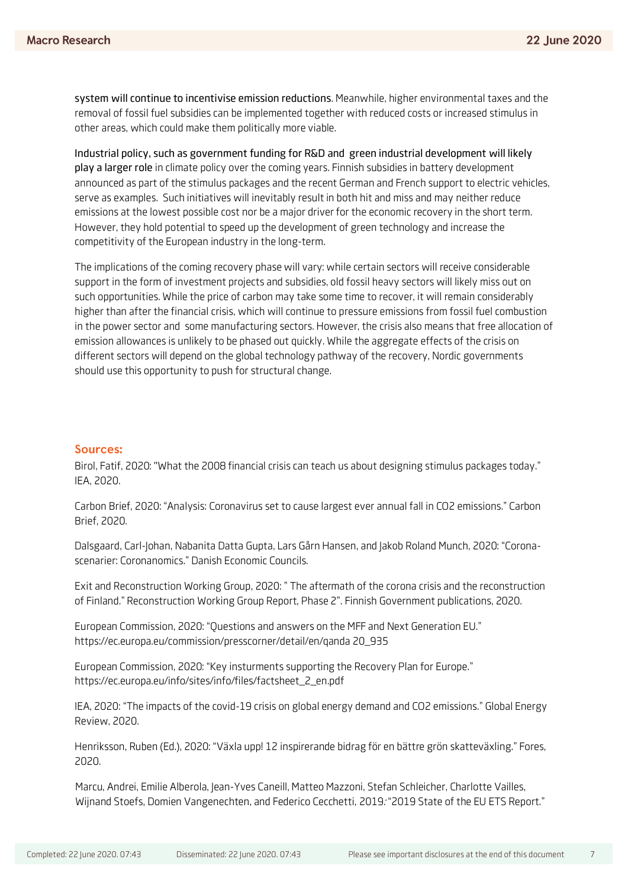system will continue to incentivise emission reductions. Meanwhile, higher environmental taxes and the removal of fossil fuel subsidies can be implemented together with reduced costs or increased stimulus in other areas, which could make them politically more viable.

Industrial policy, such as government funding for R&D and green industrial development will likely play a larger role in climate policy over the coming years. Finnish subsidies in battery development announced as part of the stimulus packages and the recent German and French support to electric vehicles, serve as examples. Such initiatives will inevitably result in both hit and miss and may neither reduce emissions at the lowest possible cost nor be a major driver for the economic recovery in the short term. However, they hold potential to speed up the development of green technology and increase the competitivity of the European industry in the long-term.

The implications of the coming recovery phase will vary: while certain sectors will receive considerable support in the form of investment projects and subsidies, old fossil heavy sectors will likely miss out on such opportunities. While the price of carbon may take some time to recover, it will remain considerably higher than after the financial crisis, which will continue to pressure emissions from fossil fuel combustion in the power sector and some manufacturing sectors. However, the crisis also means that free allocation of emission allowances is unlikely to be phased out quickly. While the aggregate effects of the crisis on different sectors will depend on the global technology pathway of the recovery, Nordic governments should use this opportunity to push for structural change.

## **Sources:**

Birol, Fatif, 2020: "What the 2008 financial crisis can teach us about designing stimulus packages today." IEA, 2020.

Carbon Brief, 2020: "Analysis: Coronavirus set to cause largest ever annual fall in CO2 emissions." Carbon Brief, 2020.

Dalsgaard, Carl-Johan, Nabanita Datta Gupta, Lars Gårn Hansen, and Jakob Roland Munch, 2020: "Coronascenarier: Coronanomics." Danish Economic Councils.

Exit and Reconstruction Working Group, 2020: " The aftermath of the corona crisis and the reconstruction of Finland." Reconstruction Working Group Report, Phase 2". Finnish Government publications, 2020.

European Commission, 2020: "Questions and answers on the MFF and Next Generation EU." [https://ec.europa.eu/commission/presscorner/detail/en/qanda 20\\_935](https://ec.europa.eu/commission/presscorner/detail/en/qanda%2020_935)

European Commission, 2020: "Key insturments supporting the Recovery Plan for Europe." [https://ec.europa.eu/info/sites/info/files/factsheet\\_2\\_en.pdf](https://ec.europa.eu/info/sites/info/files/factsheet_2_en.pdf)

IEA, 2020: "The impacts of the covid-19 crisis on global energy demand and CO2 emissions." Global Energy Review, 2020.

Henriksson, Ruben (Ed.), 2020: "Växla upp! 12 inspirerande bidrag för en bättre grön skatteväxling." Fores, 2020.

Marcu, Andrei, Emilie Alberola, Jean-Yves Caneill, Matteo Mazzoni, Stefan Schleicher, Charlotte Vailles, Wijnand Stoefs, Domien Vangenechten, and Federico Cecchetti, 2019. "2019 State of the EU ETS Report."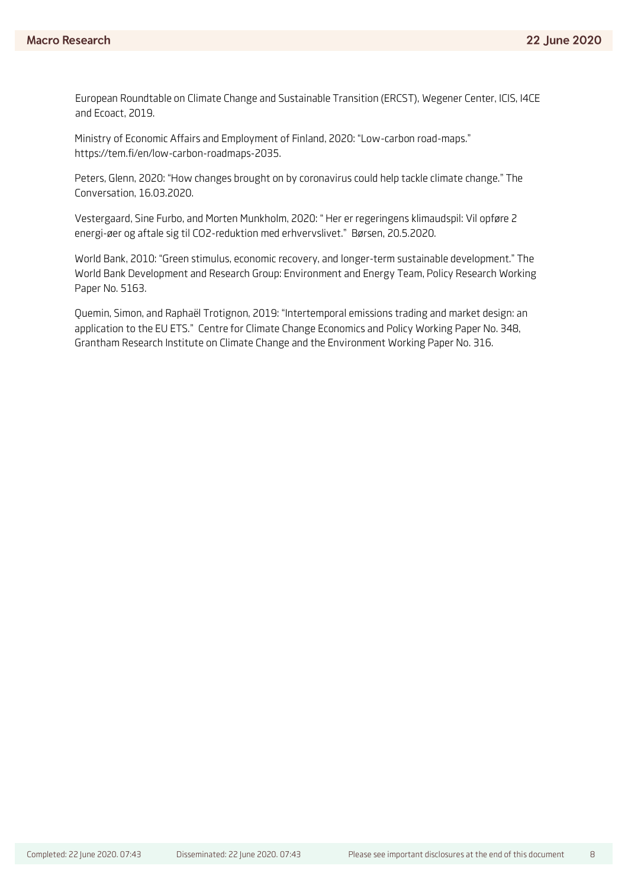European Roundtable on Climate Change and Sustainable Transition (ERCST), Wegener Center, ICIS, I4CE and Ecoact, 2019.

Ministry of Economic Affairs and Employment of Finland, 2020: "Low-carbon road-maps." [https://tem.fi/en/low-carbon-roadmaps-2035.](https://tem.fi/en/low-carbon-roadmaps-2035)

Peters, Glenn, 2020: "How changes brought on by coronavirus could help tackle climate change." The Conversation, 16.03.2020.

Vestergaard, Sine Furbo, and Morten Munkholm, 2020: " Her er regeringens klimaudspil: Vil opføre 2 energi-øer og aftale sig til CO2-reduktion med erhvervslivet." Børsen, 20.5.2020.

World Bank, 2010: "Green stimulus, economic recovery, and longer-term sustainable development." The World Bank Development and Research Group: Environment and Energy Team, Policy Research Working Paper No. 5163.

Quemin, Simon, and Raphaël Trotignon, 2019: "Intertemporal emissions trading and market design: an application to the EU ETS." Centre for Climate Change Economics and Policy Working Paper No. 348, Grantham Research Institute on Climate Change and the Environment Working Paper No. 316.